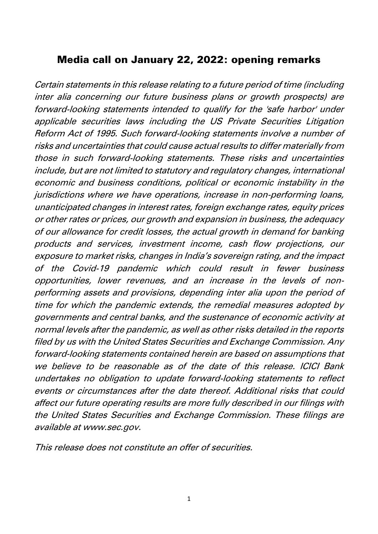## Media call on January 22, 2022: opening remarks

Certain statements in this release relating to a future period of time (including inter alia concerning our future business plans or growth prospects) are forward-looking statements intended to qualify for the 'safe harbor' under applicable securities laws including the US Private Securities Litigation Reform Act of 1995. Such forward-looking statements involve a number of risks and uncertainties that could cause actual results to differ materially from those in such forward-looking statements. These risks and uncertainties include, but are not limited to statutory and regulatory changes, international economic and business conditions, political or economic instability in the jurisdictions where we have operations, increase in non-performing loans, unanticipated changes in interest rates, foreign exchange rates, equity prices or other rates or prices, our growth and expansion in business, the adequacy of our allowance for credit losses, the actual growth in demand for banking products and services, investment income, cash flow projections, our exposure to market risks, changes in India's sovereign rating, and the impact of the Covid-19 pandemic which could result in fewer business opportunities, lower revenues, and an increase in the levels of nonperforming assets and provisions, depending inter alia upon the period of time for which the pandemic extends, the remedial measures adopted by governments and central banks, and the sustenance of economic activity at normal levels after the pandemic, as well as other risks detailed in the reports filed by us with the United States Securities and Exchange Commission. Any forward-looking statements contained herein are based on assumptions that we believe to be reasonable as of the date of this release. ICICI Bank undertakes no obligation to update forward-looking statements to reflect events or circumstances after the date thereof. Additional risks that could affect our future operating results are more fully described in our filings with the United States Securities and Exchange Commission. These filings are available at www.sec.gov.

This release does not constitute an offer of securities.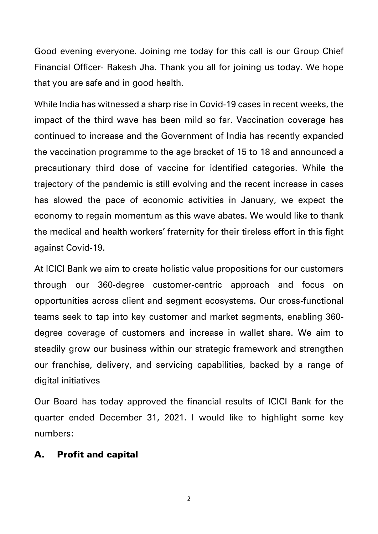Good evening everyone. Joining me today for this call is our Group Chief Financial Officer- Rakesh Jha. Thank you all for joining us today. We hope that you are safe and in good health.

While India has witnessed a sharp rise in Covid-19 cases in recent weeks, the impact of the third wave has been mild so far. Vaccination coverage has continued to increase and the Government of India has recently expanded the vaccination programme to the age bracket of 15 to 18 and announced a precautionary third dose of vaccine for identified categories. While the trajectory of the pandemic is still evolving and the recent increase in cases has slowed the pace of economic activities in January, we expect the economy to regain momentum as this wave abates. We would like to thank the medical and health workers' fraternity for their tireless effort in this fight against Covid-19.

At ICICI Bank we aim to create holistic value propositions for our customers through our 360-degree customer-centric approach and focus on opportunities across client and segment ecosystems. Our cross-functional teams seek to tap into key customer and market segments, enabling 360 degree coverage of customers and increase in wallet share. We aim to steadily grow our business within our strategic framework and strengthen our franchise, delivery, and servicing capabilities, backed by a range of digital initiatives

Our Board has today approved the financial results of ICICI Bank for the quarter ended December 31, 2021. I would like to highlight some key numbers:

#### A. Profit and capital

2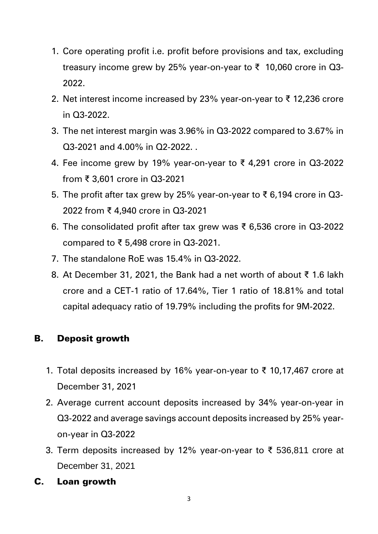- 1. Core operating profit i.e. profit before provisions and tax, excluding treasury income grew by 25% year-on-year to ₹ 10,060 crore in Q3- 2022.
- 2. Net interest income increased by 23% year-on-year to ₹ 12,236 crore in Q3-2022.
- 3. The net interest margin was 3.96% in Q3-2022 compared to 3.67% in Q3-2021 and 4.00% in Q2-2022. .
- 4. Fee income grew by 19% year-on-year to ₹4,291 crore in Q3-2022 from ₹ 3,601 crore in Q3-2021
- 5. The profit after tax grew by 25% year-on-year to ₹ 6,194 crore in Q3- 2022 from ₹ 4,940 crore in Q3-2021
- 6. The consolidated profit after tax grew was ₹ 6,536 crore in Q3-2022 compared to ₹ 5,498 crore in Q3-2021.
- 7. The standalone RoE was 15.4% in Q3-2022.
- 8. At December 31, 2021, the Bank had a net worth of about ₹ 1.6 lakh crore and a CET-1 ratio of 17.64%, Tier 1 ratio of 18.81% and total capital adequacy ratio of 19.79% including the profits for 9M-2022.

# B. Deposit growth

- 1. Total deposits increased by 16% year-on-year to ₹ 10,17,467 crore at December 31, 2021
- 2. Average current account deposits increased by 34% year-on-year in Q3-2022 and average savings account deposits increased by 25% yearon-year in Q3-2022
- 3. Term deposits increased by 12% year-on-year to ₹ 536,811 crore at December 31, 2021
- C. Loan growth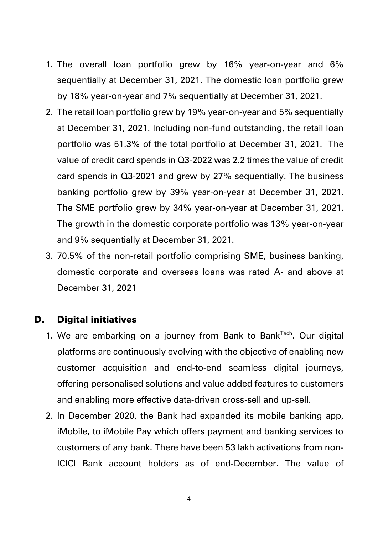- 1. The overall loan portfolio grew by 16% year-on-year and 6% sequentially at December 31, 2021. The domestic loan portfolio grew by 18% year-on-year and 7% sequentially at December 31, 2021.
- 2. The retail loan portfolio grew by 19% year-on-year and 5% sequentially at December 31, 2021. Including non-fund outstanding, the retail loan portfolio was 51.3% of the total portfolio at December 31, 2021. The value of credit card spends in Q3-2022 was 2.2 times the value of credit card spends in Q3-2021 and grew by 27% sequentially. The business banking portfolio grew by 39% year-on-year at December 31, 2021. The SME portfolio grew by 34% year-on-year at December 31, 2021. The growth in the domestic corporate portfolio was 13% year-on-year and 9% sequentially at December 31, 2021.
- 3. 70.5% of the non-retail portfolio comprising SME, business banking, domestic corporate and overseas loans was rated A- and above at December 31, 2021

#### D. Digital initiatives

- 1. We are embarking on a journey from Bank to Bank<sup>Tech</sup>. Our digital platforms are continuously evolving with the objective of enabling new customer acquisition and end-to-end seamless digital journeys, offering personalised solutions and value added features to customers and enabling more effective data-driven cross-sell and up-sell.
- 2. In December 2020, the Bank had expanded its mobile banking app, iMobile, to iMobile Pay which offers payment and banking services to customers of any bank. There have been 53 lakh activations from non-ICICI Bank account holders as of end-December. The value of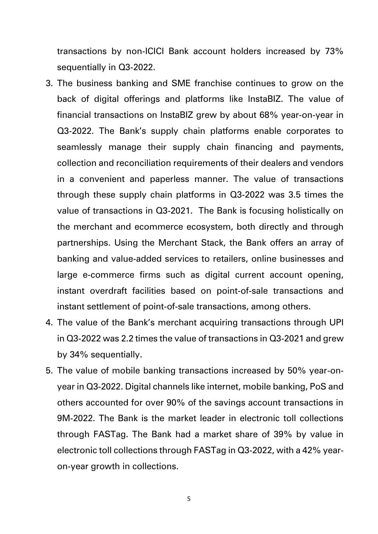transactions by non-ICICI Bank account holders increased by 73% sequentially in Q3-2022.

- 3. The business banking and SME franchise continues to grow on the back of digital offerings and platforms like InstaBIZ. The value of financial transactions on InstaBIZ grew by about 68% year-on-year in Q3-2022. The Bank's supply chain platforms enable corporates to seamlessly manage their supply chain financing and payments, collection and reconciliation requirements of their dealers and vendors in a convenient and paperless manner. The value of transactions through these supply chain platforms in Q3-2022 was 3.5 times the value of transactions in Q3-2021. The Bank is focusing holistically on the merchant and ecommerce ecosystem, both directly and through partnerships. Using the Merchant Stack, the Bank offers an array of banking and value-added services to retailers, online businesses and large e-commerce firms such as digital current account opening, instant overdraft facilities based on point-of-sale transactions and instant settlement of point-of-sale transactions, among others.
- 4. The value of the Bank's merchant acquiring transactions through UPI in Q3-2022 was 2.2 times the value of transactions in Q3-2021 and grew by 34% sequentially.
- 5. The value of mobile banking transactions increased by 50% year-onyear in Q3-2022. Digital channels like internet, mobile banking, PoS and others accounted for over 90% of the savings account transactions in 9M-2022. The Bank is the market leader in electronic toll collections through FASTag. The Bank had a market share of 39% by value in electronic toll collections through FASTag in Q3-2022, with a 42% yearon-year growth in collections.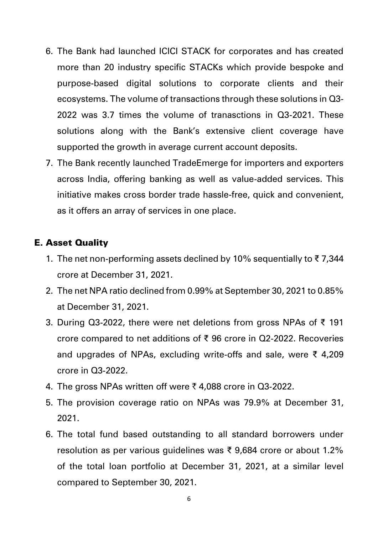- 6. The Bank had launched ICICI STACK for corporates and has created more than 20 industry specific STACKs which provide bespoke and purpose-based digital solutions to corporate clients and their ecosystems. The volume of transactions through these solutions in Q3- 2022 was 3.7 times the volume of tranasctions in Q3-2021. These solutions along with the Bank's extensive client coverage have supported the growth in average current account deposits.
- 7. The Bank recently launched TradeEmerge for importers and exporters across India, offering banking as well as value-added services. This initiative makes cross border trade hassle-free, quick and convenient, as it offers an array of services in one place.

### E. Asset Quality

- 1. The net non-performing assets declined by 10% sequentially to ₹ 7,344 crore at December 31, 2021.
- 2. The net NPA ratio declined from 0.99% at September 30, 2021 to 0.85% at December 31, 2021.
- 3. During Q3-2022, there were net deletions from gross NPAs of ₹ 191 crore compared to net additions of ₹ 96 crore in Q2-2022. Recoveries and upgrades of NPAs, excluding write-offs and sale, were ₹ 4,209 crore in Q3-2022.
- 4. The gross NPAs written off were  $\bar{\tau}$  4,088 crore in Q3-2022.
- 5. The provision coverage ratio on NPAs was 79.9% at December 31, 2021.
- 6. The total fund based outstanding to all standard borrowers under resolution as per various guidelines was ₹ 9,684 crore or about 1.2% of the total loan portfolio at December 31, 2021, at a similar level compared to September 30, 2021.